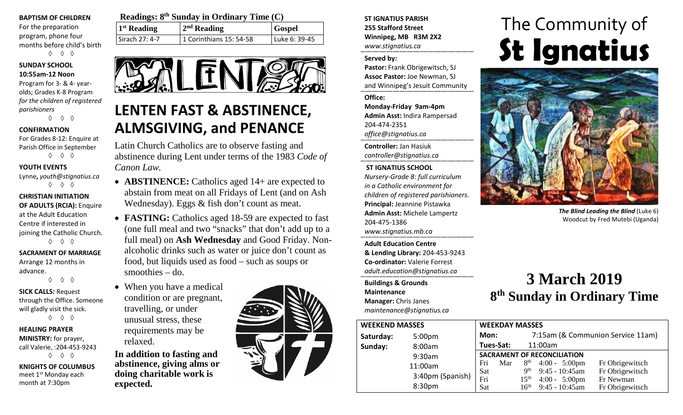#### **BAPTISM OF CHILDREN**

For the preparation program, phone four months before child's birth ◊ ◊ ◊

#### **SUNDAY SCHOOL 10:55am-12 Noon**

Program for 3- & 4- yearolds; Grades K-8 Program *for the children of registered parishioners* ◊ ◊ ◊

#### **CONFIRMATION**

For Grades 8-12: Enquire at Parish Office in September ◊ ◊ ◊

#### **YOUTH EVENTS**

Lynne**,** *youth@stignatius.ca* ◊ ◊ ◊

#### **CHRISTIAN INITIATION OF ADULTS (RCIA):** Enquire at the Adult Education Centre if interested in joining the Catholic Church. ◊ ◊ ◊

**SACRAMENT OF MARRIAGE** Arrange 12 months in

advance. ◊ ◊ ◊

**SICK CALLS:** Request through the Office. Someone will gladly visit the sick.

◊ ◊ ◊

**HEALING PRAYER MINISTRY:** for prayer, call Valerie, :204-453-9243 ◊ ◊ ◊

**KNIGHTS OF COLUMBUS** meet 1st Monday each month at 7:30pm

| Readings: $8th$ Sunday in Ordinary Time (C) |                         |               |  |  |  |
|---------------------------------------------|-------------------------|---------------|--|--|--|
| $1st$ Reading                               | $2nd$ Reading           | <b>Gospel</b> |  |  |  |
| Sirach 27: 4-7                              | 1 Corinthians 15: 54-58 | Luke 6: 39-45 |  |  |  |



# **LENTEN FAST & ABSTINENCE, ALMSGIVING, and PENANCE**

Latin Church Catholics are to observe fasting and abstinence during Lent under terms of the 1983 *Code of Canon Law.*

- **ABSTINENCE:** Catholics aged 14+ are expected to abstain from meat on all Fridays of Lent (and on Ash Wednesday). Eggs & fish don't count as meat.
- **FASTING:** Catholics aged 18-59 are expected to fast (one full meal and two "snacks" that don't add up to a full meal) on **Ash Wednesday** and Good Friday. Nonalcoholic drinks such as water or juice don't count as food, but liquids used as food – such as soups or smoothies – do.
- When you have a medical condition or are pregnant, travelling, or under unusual stress, these requirements may be relaxed.

**In addition to fasting and abstinence, giving alms or doing charitable work is expected.**



**ST IGNATIUS PARISH 255 Stafford Street Winnipeg, MB R3M 2X2** *www.stignatius.ca*

#### **Served by:**

**Pastor:** Frank Obrigewitsch, SJ **Assoc Pastor:** Joe Newman, SJ and Winnipeg's Jesuit Community

**Office:**

**Monday-Friday 9am-4pm Admin Asst:** Indira Rampersad 204-474-2351 *office@stignatius.ca*

**Controller:** Jan Hasiuk *controller@stignatius.ca*

#### **ST IGNATIUS SCHOOL**

*Nursery-Grade 8: full curriculum in a Catholic environment for children of registered parishioners.* **Principal:** Jeannine Pistawka **Admin Asst:** Michele Lampertz 204-475-1386 *www.stignatius.mb.ca*

**Adult Education Centre & Lending Library:** 204-453-9243 **Co-ordinator:** Valerie Forrest *adult.education@stignatius.ca*

**Buildings & Grounds Maintenance Manager:** Chris Janes *maintenance@stignatius.ca*

# The Community of **St Ignatius**



*The Blind Leading the Blind* (Luke 6) Woodcut by Fred Mutebi (Uganda)

## **3 March 2019 8th Sunday in Ordinary Time**

| <b>WEEKEND MASSES</b>           |                  |            | <b>WEEKDAY MASSES</b>              |                                   |                         |                 |  |
|---------------------------------|------------------|------------|------------------------------------|-----------------------------------|-------------------------|-----------------|--|
| Saturday:<br>5:00 <sub>pm</sub> |                  | Mon:       |                                    | 7:15am (& Communion Service 11am) |                         |                 |  |
| Sunday:                         | 8:00am           | Tues-Sat:  |                                    | 11:00am                           |                         |                 |  |
|                                 | 9:30am           |            | <b>SACRAMENT OF RECONCILIATION</b> |                                   |                         |                 |  |
|                                 | 11:00am          | Fri        | Mar                                |                                   | $8th$ 4:00 - 5:00pm     | Fr Obrigewitsch |  |
|                                 |                  | <b>Sat</b> |                                    | <b>Qth</b>                        | $9:45 - 10:45$ am       | Fr Obrigewitsch |  |
|                                 | 3:40pm (Spanish) | Fri        |                                    | 15 <sup>th</sup>                  | $4:00 - 5:00 \text{pm}$ | Fr Newman       |  |
|                                 | 8:30pm           | Sat        |                                    | 16 <sup>th</sup>                  | $9:45 - 10:45$ am       | Fr Obrigewitsch |  |